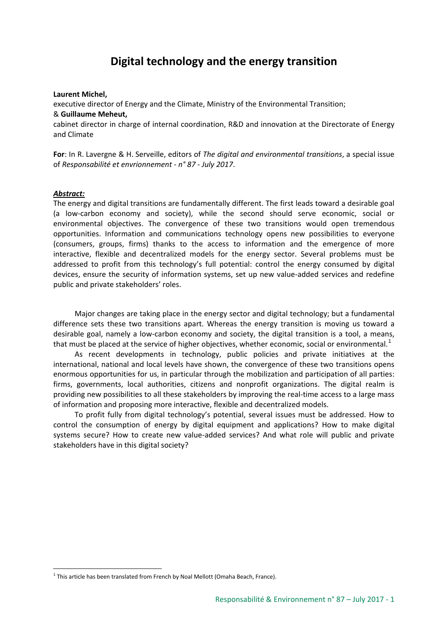# **Digital technology and the energy transition**

#### **Laurent Michel,**

executive director of Energy and the Climate, Ministry of the Environmental Transition; & **Guillaume Meheut,** 

cabinet director in charge of internal coordination, R&D and innovation at the Directorate of Energy and Climate

**For**: In R. Lavergne & H. Serveille, editors of *The digital and environmental transitions*, a special issue of *Responsabilité et envrionnement - n° 87 - July 2017*.

### *Abstract:*

The energy and digital transitions are fundamentally different. The first leads toward a desirable goal (a low-carbon economy and society), while the second should serve economic, social or environmental objectives. The convergence of these two transitions would open tremendous opportunities. Information and communications technology opens new possibilities to everyone (consumers, groups, firms) thanks to the access to information and the emergence of more interactive, flexible and decentralized models for the energy sector. Several problems must be addressed to profit from this technology's full potential: control the energy consumed by digital devices, ensure the security of information systems, set up new value-added services and redefine public and private stakeholders' roles.

Major changes are taking place in the energy sector and digital technology; but a fundamental difference sets these two transitions apart. Whereas the energy transition is moving us toward a desirable goal, namely a low-carbon economy and society, the digital transition is a tool, a means, that must be placed at the service of higher objectives, whether economic, social or environmental.<sup>[1](#page-0-0)</sup>

As recent developments in technology, public policies and private initiatives at the international, national and local levels have shown, the convergence of these two transitions opens enormous opportunities for us, in particular through the mobilization and participation of all parties: firms, governments, local authorities, citizens and nonprofit organizations. The digital realm is providing new possibilities to all these stakeholders by improving the real-time access to a large mass of information and proposing more interactive, flexible and decentralized models.

To profit fully from digital technology's potential, several issues must be addressed. How to control the consumption of energy by digital equipment and applications? How to make digital systems secure? How to create new value-added services? And what role will public and private stakeholders have in this digital society?

<span id="page-0-0"></span> $1$  This article has been translated from French by Noal Mellott (Omaha Beach, France).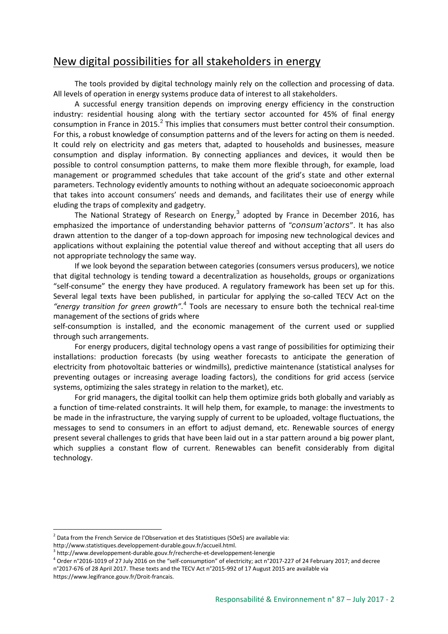## New digital possibilities for all stakeholders in energy

The tools provided by digital technology mainly rely on the collection and processing of data. All levels of operation in energy systems produce data of interest to all stakeholders.

A successful energy transition depends on improving energy efficiency in the construction industry: residential housing along with the tertiary sector accounted for 45% of final energy consumption in France in [2](#page-1-0)015. $^2$  This implies that consumers must better control their consumption. For this, a robust knowledge of consumption patterns and of the levers for acting on them is needed. It could rely on electricity and gas meters that, adapted to households and businesses, measure consumption and display information. By connecting appliances and devices, it would then be possible to control consumption patterns, to make them more flexible through, for example, load management or programmed schedules that take account of the grid's state and other external parameters. Technology evidently amounts to nothing without an adequate socioeconomic approach that takes into account consumers' needs and demands, and facilitates their use of energy while eluding the traps of complexity and gadgetry.

The National Strategy of Research on Energy, $3$  adopted by France in December 2016, has emphasized the importance of understanding behavior patterns of *"consum'actors*". It has also drawn attention to the danger of a top-down approach for imposing new technological devices and applications without explaining the potential value thereof and without accepting that all users do not appropriate technology the same way.

If we look beyond the separation between categories (consumers versus producers), we notice that digital technology is tending toward a decentralization as households, groups or organizations "self-consume" the energy they have produced. A regulatory framework has been set up for this. Several legal texts have been published, in particular for applying the so-called TECV Act on the *"energy transition for green growth"*. [4](#page-1-2) Tools are necessary to ensure both the technical real-time management of the sections of grids where

self-consumption is installed, and the economic management of the current used or supplied through such arrangements.

For energy producers, digital technology opens a vast range of possibilities for optimizing their installations: production forecasts (by using weather forecasts to anticipate the generation of electricity from photovoltaic batteries or windmills), predictive maintenance (statistical analyses for preventing outages or increasing average loading factors), the conditions for grid access (service systems, optimizing the sales strategy in relation to the market), etc.

For grid managers, the digital toolkit can help them optimize grids both globally and variably as a function of time-related constraints. It will help them, for example, to manage: the investments to be made in the infrastructure, the varying supply of current to be uploaded, voltage fluctuations, the messages to send to consumers in an effort to adjust demand, etc. Renewable sources of energy present several challenges to grids that have been laid out in a star pattern around a big power plant, which supplies a constant flow of current. Renewables can benefit considerably from digital technology.

<span id="page-1-0"></span> $2$  Data from the French Service de l'Observation et des Statistiques (SOeS) are available via:

http://www.statistiques.developpement-durable.gouv.fr/accueil.html.

<span id="page-1-1"></span> $3$  http://www.developpement-durable.gouv.fr/recherche-et-developpement-lenergie

<span id="page-1-2"></span><sup>&</sup>lt;sup>4</sup> Order n°2016-1019 of 27 July 2016 on the "self-consumption" of electricity; act n°2017-227 of 24 February 2017; and decree n°2017-676 of 28 April 2017. These texts and the TECV Act n°2015-992 of 17 August 2015 are available via

https://www.legifrance.gouv.fr/Droit-francais.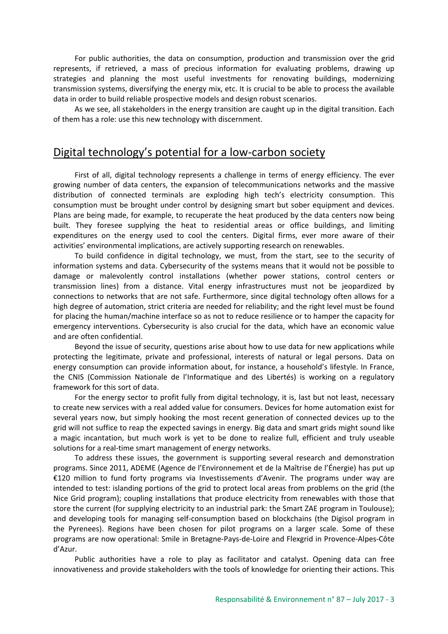For public authorities, the data on consumption, production and transmission over the grid represents, if retrieved, a mass of precious information for evaluating problems, drawing up strategies and planning the most useful investments for renovating buildings, modernizing transmission systems, diversifying the energy mix, etc. It is crucial to be able to process the available data in order to build reliable prospective models and design robust scenarios.

As we see, all stakeholders in the energy transition are caught up in the digital transition. Each of them has a role: use this new technology with discernment.

### Digital technology's potential for a low-carbon society

First of all, digital technology represents a challenge in terms of energy efficiency. The ever growing number of data centers, the expansion of telecommunications networks and the massive distribution of connected terminals are exploding high tech's electricity consumption. This consumption must be brought under control by designing smart but sober equipment and devices. Plans are being made, for example, to recuperate the heat produced by the data centers now being built. They foresee supplying the heat to residential areas or office buildings, and limiting expenditures on the energy used to cool the centers. Digital firms, ever more aware of their activities' environmental implications, are actively supporting research on renewables.

To build confidence in digital technology, we must, from the start, see to the security of information systems and data. Cybersecurity of the systems means that it would not be possible to damage or malevolently control installations (whether power stations, control centers or transmission lines) from a distance. Vital energy infrastructures must not be jeopardized by connections to networks that are not safe. Furthermore, since digital technology often allows for a high degree of automation, strict criteria are needed for reliability; and the right level must be found for placing the human/machine interface so as not to reduce resilience or to hamper the capacity for emergency interventions. Cybersecurity is also crucial for the data, which have an economic value and are often confidential.

Beyond the issue of security, questions arise about how to use data for new applications while protecting the legitimate, private and professional, interests of natural or legal persons. Data on energy consumption can provide information about, for instance, a household's lifestyle. In France, the CNIS (Commission Nationale de l'Informatique and des Libertés) is working on a regulatory framework for this sort of data.

For the energy sector to profit fully from digital technology, it is, last but not least, necessary to create new services with a real added value for consumers. Devices for home automation exist for several years now, but simply hooking the most recent generation of connected devices up to the grid will not suffice to reap the expected savings in energy. Big data and smart grids might sound like a magic incantation, but much work is yet to be done to realize full, efficient and truly useable solutions for a real-time smart management of energy networks.

To address these issues, the government is supporting several research and demonstration programs. Since 2011, ADEME (Agence de l'Environnement et de la Maîtrise de l'Énergie) has put up €120 million to fund forty programs via Investissements d'Avenir. The programs under way are intended to test: islanding portions of the grid to protect local areas from problems on the grid (the Nice Grid program); coupling installations that produce electricity from renewables with those that store the current (for supplying electricity to an industrial park: the Smart ZAE program in Toulouse); and developing tools for managing self-consumption based on blockchains (the Digisol program in the Pyrenees). Regions have been chosen for pilot programs on a larger scale. Some of these programs are now operational: Smile in Bretagne-Pays-de-Loire and Flexgrid in Provence-Alpes-Côte d'Azur.

Public authorities have a role to play as facilitator and catalyst. Opening data can free innovativeness and provide stakeholders with the tools of knowledge for orienting their actions. This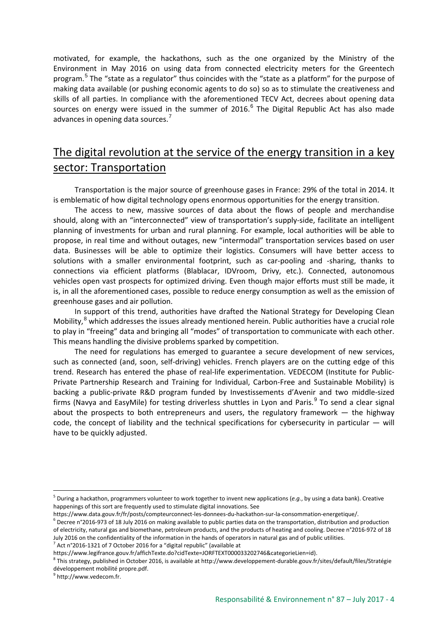motivated, for example, the hackathons, such as the one organized by the Ministry of the Environment in May 2016 on using data from connected electricity meters for the Greentech program.<sup>[5](#page-3-0)</sup> The "state as a regulator" thus coincides with the "state as a platform" for the purpose of making data available (or pushing economic agents to do so) so as to stimulate the creativeness and skills of all parties. In compliance with the aforementioned TECV Act, decrees about opening data sources on energy were issued in the summer of  $2016<sup>6</sup>$  $2016<sup>6</sup>$  $2016<sup>6</sup>$  The Digital Republic Act has also made advances in opening data sources.<sup>[7](#page-3-2)</sup>

# The digital revolution at the service of the energy transition in a key sector: Transportation

Transportation is the major source of greenhouse gases in France: 29% of the total in 2014. It is emblematic of how digital technology opens enormous opportunities for the energy transition.

The access to new, massive sources of data about the flows of people and merchandise should, along with an "interconnected" view of transportation's supply-side, facilitate an intelligent planning of investments for urban and rural planning. For example, local authorities will be able to propose, in real time and without outages, new "intermodal" transportation services based on user data. Businesses will be able to optimize their logistics. Consumers will have better access to solutions with a smaller environmental footprint, such as car-pooling and -sharing, thanks to connections via efficient platforms (Blablacar, IDVroom, Drivy, etc.). Connected, autonomous vehicles open vast prospects for optimized driving. Even though major efforts must still be made, it is, in all the aforementioned cases, possible to reduce energy consumption as well as the emission of greenhouse gases and air pollution.

In support of this trend, authorities have drafted the National Strategy for Developing Clean Mobility,<sup>[8](#page-3-3)</sup> which addresses the issues already mentioned herein. Public authorities have a crucial role to play in "freeing" data and bringing all "modes" of transportation to communicate with each other. This means handling the divisive problems sparked by competition.

The need for regulations has emerged to guarantee a secure development of new services, such as connected (and, soon, self-driving) vehicles. French players are on the cutting edge of this trend. Research has entered the phase of real-life experimentation. VEDECOM (Institute for Public-Private Partnership Research and Training for Individual, Carbon-Free and Sustainable Mobility) is backing a public-private R&D program funded by Investissements d'Avenir and two middle-sized firms (Navya and EasyMile) for testing driverless shuttles in Lyon and Paris. $9$  To send a clear signal about the prospects to both entrepreneurs and users, the regulatory framework — the highway code, the concept of liability and the technical specifications for cybersecurity in particular — will have to be quickly adjusted.

<span id="page-3-4"></span><sup>9</sup> http://www.vedecom.fr.

<span id="page-3-0"></span><sup>5</sup> During a hackathon, programmers volunteer to work together to invent new applications (*e.g.*, by using a data bank). Creative happenings of this sort are frequently used to stimulate digital innovations. See

<span id="page-3-1"></span>https://www.data.gouv.fr/fr/posts/compteurconnect-les-donnees-du-hackathon-sur-la-consommation-energetique/.  $6$  Decree n°2016-973 of 18 July 2016 on making available to public parties data on the transportation, distribution and production of electricity, natural gas and biomethane, petroleum products, and the products of heating and cooling. Decree n°2016-972 of 18 July 2016 on the confidentiality of the information in the hands of operators in natural gas and of public utilities.  $<sup>7</sup>$  Act n°2016-1321 of 7 October 2016 for a "digital republic" (available at</sup>

<span id="page-3-2"></span>https://www.legifrance.gouv.fr/affichTexte.do?cidTexte=JORFTEXT000033202746&categorieLien=id).

<span id="page-3-3"></span><sup>8</sup> This strategy, published in October 2016, is available at http://www.developpement-durable.gouv.fr/sites/default/files/Stratégie développement mobilité propre.pdf.